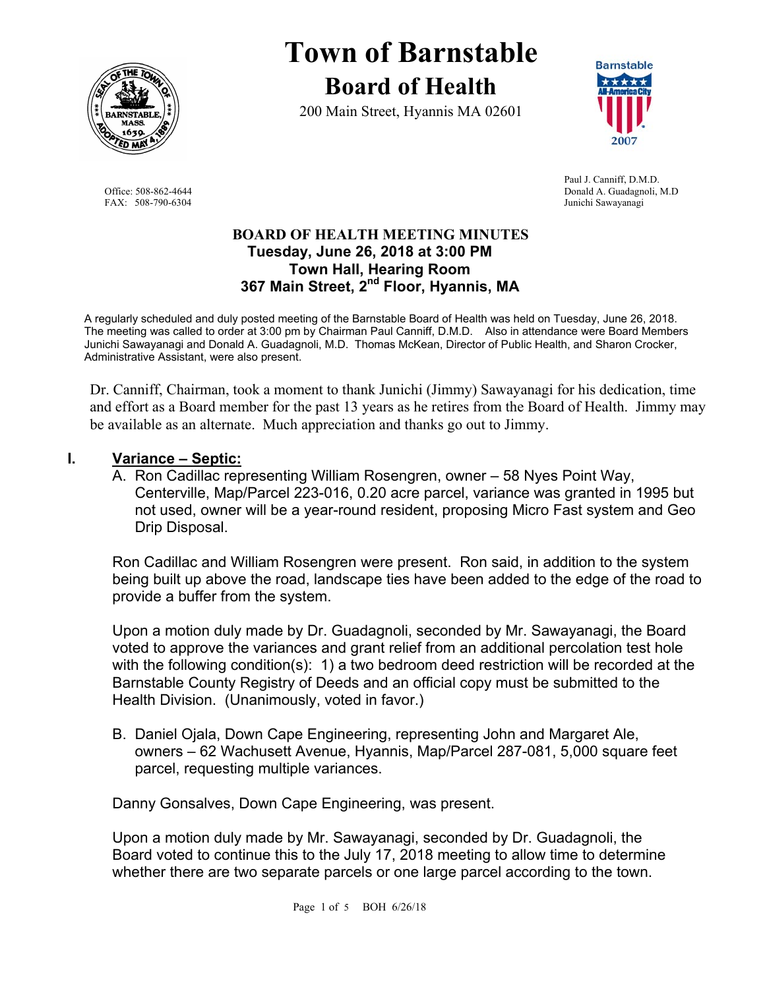

# **Town of Barnstable Board of Health**

200 Main Street, Hyannis MA 02601



 Paul J. Canniff, D.M.D. Office: 508-862-4644 Donald A. Guadagnoli, M.D FAX: 508-790-6304 Junichi Sawayanagi

# **BOARD OF HEALTH MEETING MINUTES Tuesday, June 26, 2018 at 3:00 PM Town Hall, Hearing Room 367 Main Street, 2nd Floor, Hyannis, MA**

A regularly scheduled and duly posted meeting of the Barnstable Board of Health was held on Tuesday, June 26, 2018. The meeting was called to order at 3:00 pm by Chairman Paul Canniff, D.M.D. Also in attendance were Board Members Junichi Sawayanagi and Donald A. Guadagnoli, M.D. Thomas McKean, Director of Public Health, and Sharon Crocker, Administrative Assistant, were also present.

Dr. Canniff, Chairman, took a moment to thank Junichi (Jimmy) Sawayanagi for his dedication, time and effort as a Board member for the past 13 years as he retires from the Board of Health. Jimmy may be available as an alternate. Much appreciation and thanks go out to Jimmy.

# **I. Variance – Septic:**

A. Ron Cadillac representing William Rosengren, owner – 58 Nyes Point Way, Centerville, Map/Parcel 223-016, 0.20 acre parcel, variance was granted in 1995 but not used, owner will be a year-round resident, proposing Micro Fast system and Geo Drip Disposal.

Ron Cadillac and William Rosengren were present. Ron said, in addition to the system being built up above the road, landscape ties have been added to the edge of the road to provide a buffer from the system.

Upon a motion duly made by Dr. Guadagnoli, seconded by Mr. Sawayanagi, the Board voted to approve the variances and grant relief from an additional percolation test hole with the following condition(s): 1) a two bedroom deed restriction will be recorded at the Barnstable County Registry of Deeds and an official copy must be submitted to the Health Division. (Unanimously, voted in favor.)

B. Daniel Ojala, Down Cape Engineering, representing John and Margaret Ale, owners – 62 Wachusett Avenue, Hyannis, Map/Parcel 287-081, 5,000 square feet parcel, requesting multiple variances.

Danny Gonsalves, Down Cape Engineering, was present.

Upon a motion duly made by Mr. Sawayanagi, seconded by Dr. Guadagnoli, the Board voted to continue this to the July 17, 2018 meeting to allow time to determine whether there are two separate parcels or one large parcel according to the town.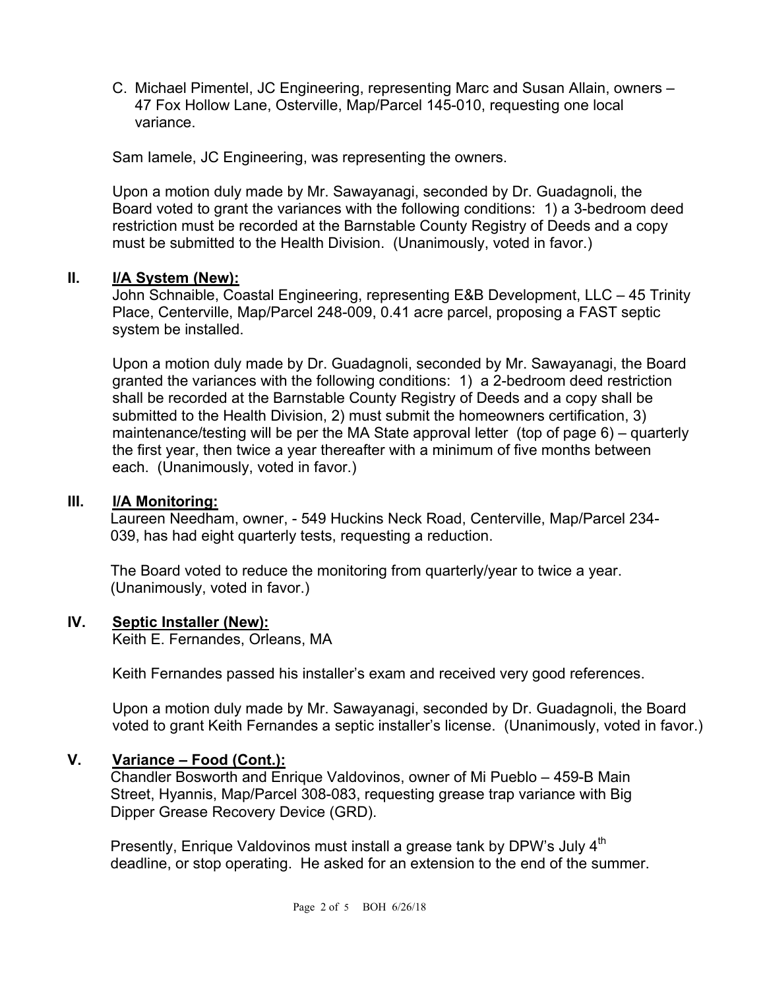C. Michael Pimentel, JC Engineering, representing Marc and Susan Allain, owners – 47 Fox Hollow Lane, Osterville, Map/Parcel 145-010, requesting one local variance.

Sam Iamele, JC Engineering, was representing the owners.

Upon a motion duly made by Mr. Sawayanagi, seconded by Dr. Guadagnoli, the Board voted to grant the variances with the following conditions: 1) a 3-bedroom deed restriction must be recorded at the Barnstable County Registry of Deeds and a copy must be submitted to the Health Division. (Unanimously, voted in favor.)

# **II. I/A System (New):**

John Schnaible, Coastal Engineering, representing E&B Development, LLC – 45 Trinity Place, Centerville, Map/Parcel 248-009, 0.41 acre parcel, proposing a FAST septic system be installed.

Upon a motion duly made by Dr. Guadagnoli, seconded by Mr. Sawayanagi, the Board granted the variances with the following conditions: 1) a 2-bedroom deed restriction shall be recorded at the Barnstable County Registry of Deeds and a copy shall be submitted to the Health Division, 2) must submit the homeowners certification, 3) maintenance/testing will be per the MA State approval letter (top of page 6) – quarterly the first year, then twice a year thereafter with a minimum of five months between each. (Unanimously, voted in favor.)

#### **III. I/A Monitoring:**

Laureen Needham, owner, - 549 Huckins Neck Road, Centerville, Map/Parcel 234- 039, has had eight quarterly tests, requesting a reduction.

The Board voted to reduce the monitoring from quarterly/year to twice a year. (Unanimously, voted in favor.)

# **IV. Septic Installer (New):**

Keith E. Fernandes, Orleans, MA

Keith Fernandes passed his installer's exam and received very good references.

Upon a motion duly made by Mr. Sawayanagi, seconded by Dr. Guadagnoli, the Board voted to grant Keith Fernandes a septic installer's license. (Unanimously, voted in favor.)

#### **V. Variance – Food (Cont.):**

Chandler Bosworth and Enrique Valdovinos, owner of Mi Pueblo – 459-B Main Street, Hyannis, Map/Parcel 308-083, requesting grease trap variance with Big Dipper Grease Recovery Device (GRD).

Presently, Enrique Valdovinos must install a grease tank by DPW's July 4<sup>th</sup> deadline, or stop operating. He asked for an extension to the end of the summer.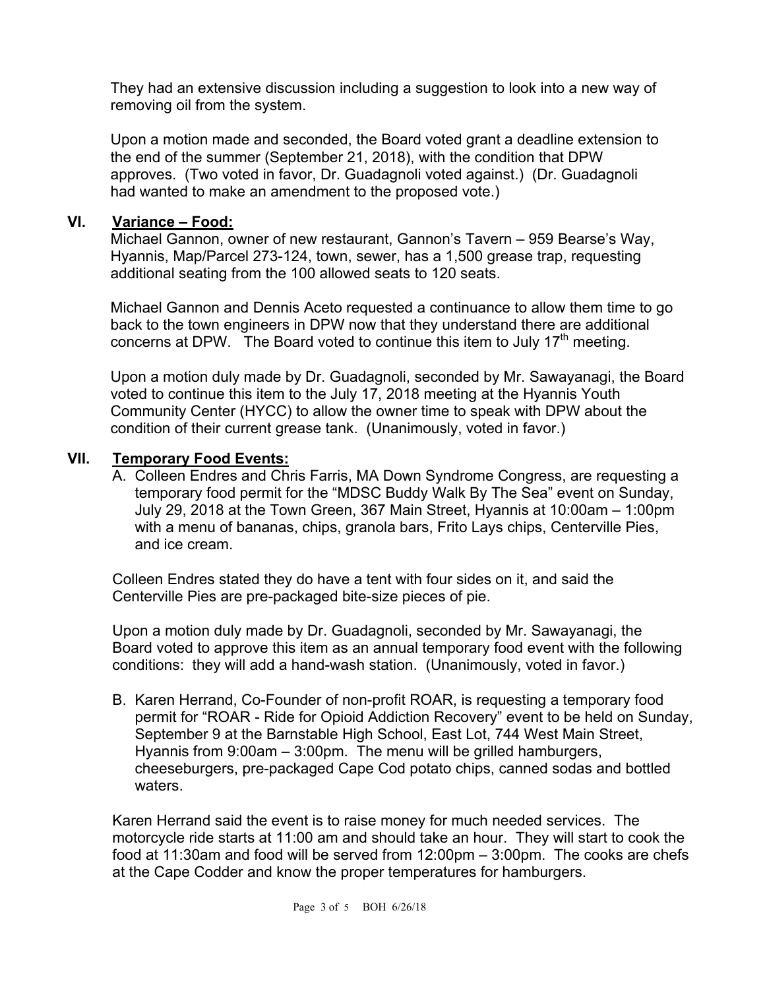They had an extensive discussion including a suggestion to look into a new way of removing oil from the system.

Upon a motion made and seconded, the Board voted grant a deadline extension to the end of the summer (September 21, 2018), with the condition that DPW approves. (Two voted in favor, Dr. Guadagnoli voted against.) (Dr. Guadagnoli had wanted to make an amendment to the proposed vote.)

# **VI. Variance – Food:**

Michael Gannon, owner of new restaurant, Gannon's Tavern – 959 Bearse's Way, Hyannis, Map/Parcel 273-124, town, sewer, has a 1,500 grease trap, requesting additional seating from the 100 allowed seats to 120 seats.

Michael Gannon and Dennis Aceto requested a continuance to allow them time to go back to the town engineers in DPW now that they understand there are additional concerns at DPW. The Board voted to continue this item to July  $17<sup>th</sup>$  meeting.

Upon a motion duly made by Dr. Guadagnoli, seconded by Mr. Sawayanagi, the Board voted to continue this item to the July 17, 2018 meeting at the Hyannis Youth Community Center (HYCC) to allow the owner time to speak with DPW about the condition of their current grease tank. (Unanimously, voted in favor.)

# **VII. Temporary Food Events:**

A. Colleen Endres and Chris Farris, MA Down Syndrome Congress, are requesting a temporary food permit for the "MDSC Buddy Walk By The Sea" event on Sunday, July 29, 2018 at the Town Green, 367 Main Street, Hyannis at 10:00am – 1:00pm with a menu of bananas, chips, granola bars, Frito Lays chips, Centerville Pies, and ice cream.

Colleen Endres stated they do have a tent with four sides on it, and said the Centerville Pies are pre-packaged bite-size pieces of pie.

Upon a motion duly made by Dr. Guadagnoli, seconded by Mr. Sawayanagi, the Board voted to approve this item as an annual temporary food event with the following conditions: they will add a hand-wash station. (Unanimously, voted in favor.)

B. Karen Herrand, Co-Founder of non-profit ROAR, is requesting a temporary food permit for "ROAR - Ride for Opioid Addiction Recovery" event to be held on Sunday, September 9 at the Barnstable High School, East Lot, 744 West Main Street, Hyannis from 9:00am – 3:00pm. The menu will be grilled hamburgers, cheeseburgers, pre-packaged Cape Cod potato chips, canned sodas and bottled waters.

Karen Herrand said the event is to raise money for much needed services. The motorcycle ride starts at 11:00 am and should take an hour. They will start to cook the food at 11:30am and food will be served from 12:00pm – 3:00pm. The cooks are chefs at the Cape Codder and know the proper temperatures for hamburgers.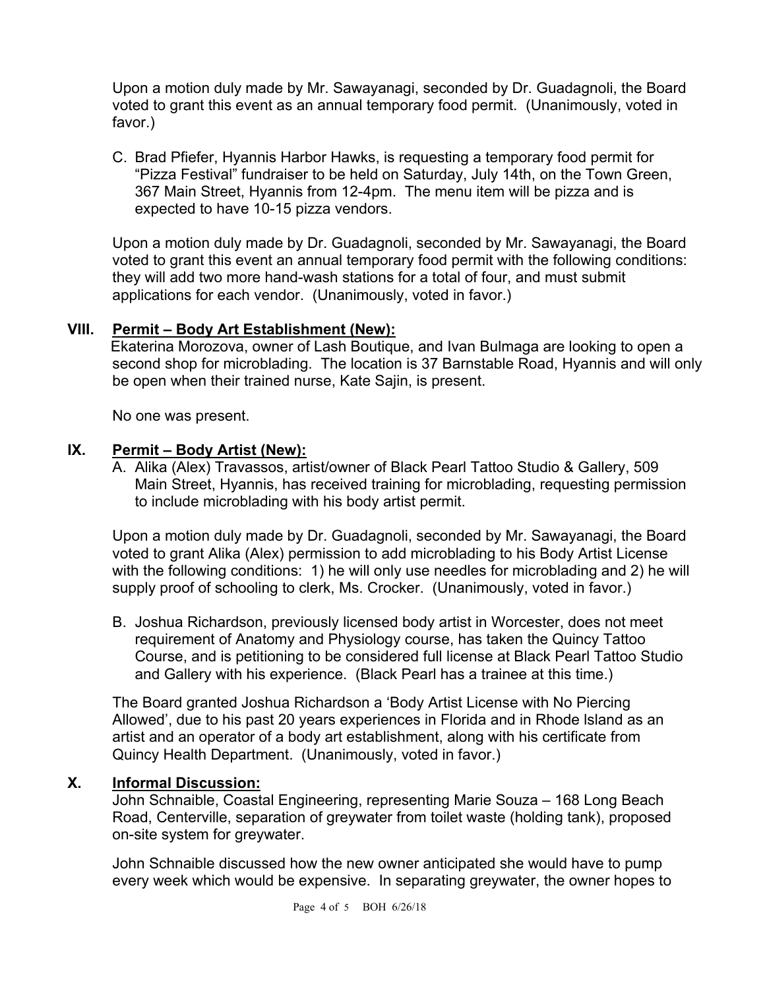Upon a motion duly made by Mr. Sawayanagi, seconded by Dr. Guadagnoli, the Board voted to grant this event as an annual temporary food permit. (Unanimously, voted in favor.)

C. Brad Pfiefer, Hyannis Harbor Hawks, is requesting a temporary food permit for "Pizza Festival" fundraiser to be held on Saturday, July 14th, on the Town Green, 367 Main Street, Hyannis from 12-4pm. The menu item will be pizza and is expected to have 10-15 pizza vendors.

Upon a motion duly made by Dr. Guadagnoli, seconded by Mr. Sawayanagi, the Board voted to grant this event an annual temporary food permit with the following conditions: they will add two more hand-wash stations for a total of four, and must submit applications for each vendor. (Unanimously, voted in favor.)

# **VIII. Permit – Body Art Establishment (New):**

 Ekaterina Morozova, owner of Lash Boutique, and Ivan Bulmaga are looking to open a second shop for microblading. The location is 37 Barnstable Road, Hyannis and will only be open when their trained nurse, Kate Sajin, is present.

No one was present.

# **IX. Permit – Body Artist (New):**

A. Alika (Alex) Travassos, artist/owner of Black Pearl Tattoo Studio & Gallery, 509 Main Street, Hyannis, has received training for microblading, requesting permission to include microblading with his body artist permit.

Upon a motion duly made by Dr. Guadagnoli, seconded by Mr. Sawayanagi, the Board voted to grant Alika (Alex) permission to add microblading to his Body Artist License with the following conditions: 1) he will only use needles for microblading and 2) he will supply proof of schooling to clerk, Ms. Crocker. (Unanimously, voted in favor.)

B. Joshua Richardson, previously licensed body artist in Worcester, does not meet requirement of Anatomy and Physiology course, has taken the Quincy Tattoo Course, and is petitioning to be considered full license at Black Pearl Tattoo Studio and Gallery with his experience. (Black Pearl has a trainee at this time.)

The Board granted Joshua Richardson a 'Body Artist License with No Piercing Allowed', due to his past 20 years experiences in Florida and in Rhode lsland as an artist and an operator of a body art establishment, along with his certificate from Quincy Health Department. (Unanimously, voted in favor.)

# **X. Informal Discussion:**

John Schnaible, Coastal Engineering, representing Marie Souza – 168 Long Beach Road, Centerville, separation of greywater from toilet waste (holding tank), proposed on-site system for greywater.

John Schnaible discussed how the new owner anticipated she would have to pump every week which would be expensive. In separating greywater, the owner hopes to